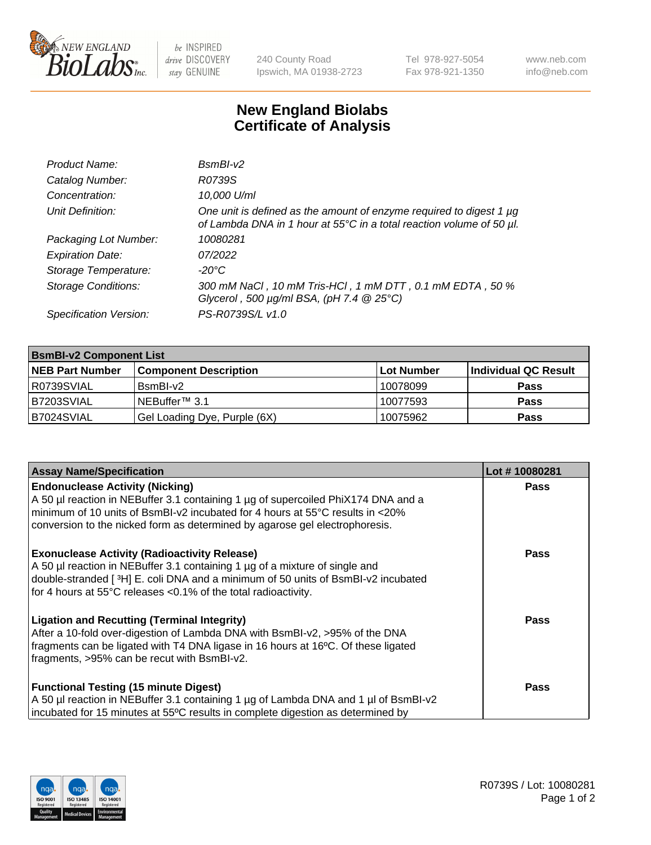

be INSPIRED drive DISCOVERY stay GENUINE

240 County Road Ipswich, MA 01938-2723 Tel 978-927-5054 Fax 978-921-1350 www.neb.com info@neb.com

## **New England Biolabs Certificate of Analysis**

| Product Name:              | $BsmBI-v2$                                                                                                                                  |
|----------------------------|---------------------------------------------------------------------------------------------------------------------------------------------|
| Catalog Number:            | R0739S                                                                                                                                      |
| Concentration:             | 10,000 U/ml                                                                                                                                 |
| Unit Definition:           | One unit is defined as the amount of enzyme required to digest 1 µg<br>of Lambda DNA in 1 hour at 55°C in a total reaction volume of 50 µl. |
| Packaging Lot Number:      | 10080281                                                                                                                                    |
| <b>Expiration Date:</b>    | 07/2022                                                                                                                                     |
| Storage Temperature:       | $-20^{\circ}$ C                                                                                                                             |
| <b>Storage Conditions:</b> | 300 mM NaCl, 10 mM Tris-HCl, 1 mM DTT, 0.1 mM EDTA, 50 %<br>Glycerol, 500 $\mu$ g/ml BSA, (pH 7.4 $@25°C$ )                                 |
| Specification Version:     | PS-R0739S/L v1.0                                                                                                                            |

| <b>BsmBI-v2 Component List</b> |                              |                   |                      |  |  |
|--------------------------------|------------------------------|-------------------|----------------------|--|--|
| <b>NEB Part Number</b>         | <b>Component Description</b> | <b>Lot Number</b> | Individual QC Result |  |  |
| I R0739SVIAL                   | BsmBI-v2                     | 10078099          | <b>Pass</b>          |  |  |
| B7203SVIAL                     | INEBuffer™ 3.1               | 10077593          | <b>Pass</b>          |  |  |
| B7024SVIAL                     | Gel Loading Dye, Purple (6X) | 10075962          | <b>Pass</b>          |  |  |

| <b>Assay Name/Specification</b>                                                      | Lot #10080281 |
|--------------------------------------------------------------------------------------|---------------|
| <b>Endonuclease Activity (Nicking)</b>                                               | <b>Pass</b>   |
| A 50 µl reaction in NEBuffer 3.1 containing 1 µg of supercoiled PhiX174 DNA and a    |               |
| $\mid$ minimum of 10 units of BsmBI-v2 incubated for 4 hours at 55°C results in <20% |               |
| conversion to the nicked form as determined by agarose gel electrophoresis.          |               |
| <b>Exonuclease Activity (Radioactivity Release)</b>                                  | <b>Pass</b>   |
| A 50 µl reaction in NEBuffer 3.1 containing 1 µg of a mixture of single and          |               |
| double-stranded [3H] E. coli DNA and a minimum of 50 units of BsmBI-v2 incubated     |               |
| for 4 hours at 55°C releases <0.1% of the total radioactivity.                       |               |
| <b>Ligation and Recutting (Terminal Integrity)</b>                                   | Pass          |
| After a 10-fold over-digestion of Lambda DNA with BsmBI-v2, >95% of the DNA          |               |
| fragments can be ligated with T4 DNA ligase in 16 hours at 16°C. Of these ligated    |               |
| fragments, >95% can be recut with BsmBI-v2.                                          |               |
| <b>Functional Testing (15 minute Digest)</b>                                         | <b>Pass</b>   |
| A 50 µl reaction in NEBuffer 3.1 containing 1 µg of Lambda DNA and 1 µl of BsmBI-v2  |               |
| incubated for 15 minutes at 55°C results in complete digestion as determined by      |               |